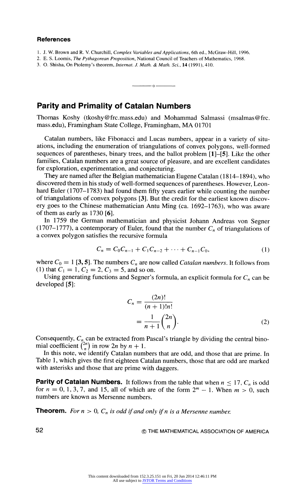## **References**

- **1. J. W. Brown and R. V. Churchill, Complex Variables and Applications, 6th ed., McGraw-Hill, 1996.**
- **2. E. S. Loomis, The Pythagorean Proposition, National Council of Teachers of Mathematics, 1968.**
- **3. O. Shisha, On Ptolemy's theorem, Internat. J. Math. & Math. Sei., 14 (1991), 410.**

## **Parity and Primality of Catalan Numbers**

**Thomas Koshy (tkoshy@frc.mass.edu) and Mohammad Salmassi (msalmas@frc. mass.edu), Framingham State College, Framingham, MA 01701** 

 $\overline{\phantom{a}}$  0  $\overline{\phantom{a}}$ 

Catalan numbers, like Fibonacci and Lucas numbers, appear in a variety of situ**ations, including the enumeration of triangulations of convex polygons, well-formed sequences of parentheses, binary trees, and the ballot problem [l]-[5]. Like the other families, Catalan numbers are a great source of pleasure, and are excellent candidates for exploration, experimentation, and conjecturing.** 

**They are named after the Belgian mathematician Eugene Catalan (1814-1894), who discovered them in his study of well-formed sequences of parentheses. However, Leon hard Euler (1707-1783) had found them fifty years earlier while counting the number of triangulations of convex polygons [3]. But the credit for the earliest known discov ery goes to the Chinese mathematician Antu Ming (ca. 1692-1763), who was aware of them as early as 1730 [6].** 

**In 1759 the German mathematician and physicist Johann Andreas von Segner**  (1707–1777), a contemporary of Euler, found that the number  $C_n$  of triangulations of **a convex polygon satisfies the recursive formula** 

$$
C_n = C_0 C_{n-1} + C_1 C_{n-2} + \dots + C_{n-1} C_0, \tag{1}
$$

where  $C_0 = 1$  [3, 5]. The numbers  $C_n$  are now called *Catalan numbers*. It follows from (1) that  $C_1 = 1$ ,  $C_2 = 2$ ,  $C_3 = 5$ , and so on.

Using generating functions and Segner's formula, an explicit formula for  $C_n$  can be **developed [5]:** 

$$
C_n = \frac{(2n)!}{(n+1)!n!}
$$
  
=  $\frac{1}{n+1} {2n \choose n}$ . (2)

Consequently,  $C_n$  can be extracted from Pascal's triangle by dividing the central binomial coefficient  $\binom{2n}{n}$  in row  $2n$  by  $n + 1$ .

**In this note, we identify Catalan numbers that are odd, and those that are prime. In Table 1, which gives the first eighteen Catalan numbers, those that are odd are marked with asterisks and those that are prime with daggers.** 

**Parity of Catalan Numbers.** It follows from the table that when  $n \leq 17$ ,  $C_n$  is odd for  $n = 0, 1, 3, 7$ , and 15, all of which are of the form  $2<sup>m</sup> - 1$ . When  $m > 0$ , such **numbers are known as Mersenne numbers.** 

**Theorem.** For  $n > 0$ ,  $C_n$  is odd if and only if n is a Mersenne number.

**52 ? THE MATHEMATICAL ASSOCIATION OF AMERICA**